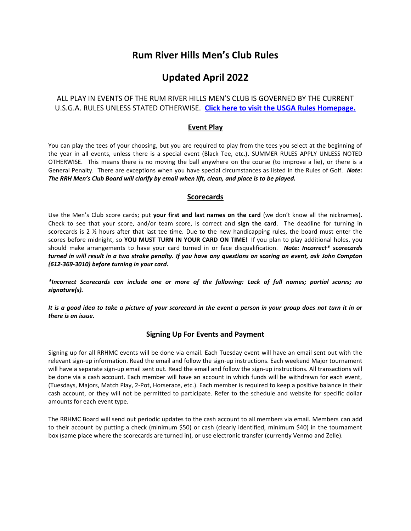# **Rum River Hills Men's Club Rules**

# **Updated April 2022**

# ALL PLAY IN EVENTS OF THE RUM RIVER HILLS MEN'S CLUB IS GOVERNED BY THE CURRENT U.S.G.A. RULES UNLESS STATED OTHERWISE. **[Click here to visit the USGA Rules Homepage.](https://www.usga.org/content/usga/home-page/rules-hub.html)**

# **Event Play**

You can play the tees of your choosing, but you are required to play from the tees you select at the beginning of the year in all events, unless there is a special event (Black Tee, etc.). SUMMER RULES APPLY UNLESS NOTED OTHERWISE. This means there is no moving the ball anywhere on the course (to improve a lie), or there is a General Penalty. There are exceptions when you have special circumstances as listed in the Rules of Golf. *Note: The RRH Men's Club Board will clarify by email when lift, clean, and place is to be played.* 

## **Scorecards**

Use the Men's Club score cards; put **your first and last names on the card** (we don't know all the nicknames). Check to see that your score, and/or team score, is correct and **sign the card**. The deadline for turning in scorecards is 2 ½ hours after that last tee time. Due to the new handicapping rules, the board must enter the scores before midnight, so **YOU MUST TURN IN YOUR CARD ON TIME**! If you plan to play additional holes, you should make arrangements to have your card turned in or face disqualification. *Note: Incorrect\* scorecards turned in will result in a two stroke penalty. If you have any questions on scoring an event, ask John Compton (612-369-3010) before turning in your card.*

*\*Incorrect Scorecards can include one or more of the following: Lack of full names; partial scores; no signature(s).*

*It is a good idea to take a picture of your scorecard in the event a person in your group does not turn it in or there is an issue.* 

## **Signing Up For Events and Payment**

Signing up for all RRHMC events will be done via email. Each Tuesday event will have an email sent out with the relevant sign-up information. Read the email and follow the sign-up instructions. Each weekend Major tournament will have a separate sign-up email sent out. Read the email and follow the sign-up instructions. All transactions will be done via a cash account. Each member will have an account in which funds will be withdrawn for each event, (Tuesdays, Majors, Match Play, 2-Pot, Horserace, etc.). Each member is required to keep a positive balance in their cash account, or they will not be permitted to participate. Refer to the schedule and website for specific dollar amounts for each event type.

The RRHMC Board will send out periodic updates to the cash account to all members via email. Members can add to their account by putting a check (minimum \$50) or cash (clearly identified, minimum \$40) in the tournament box (same place where the scorecards are turned in), or use electronic transfer (currently Venmo and Zelle).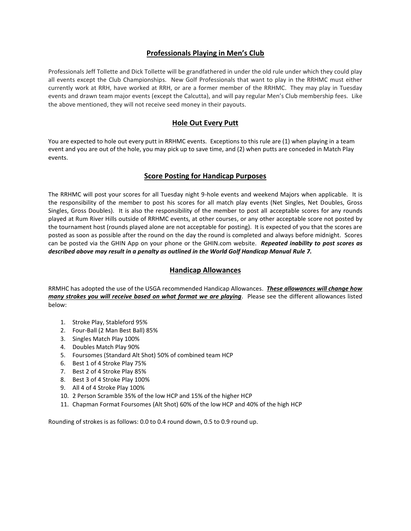## **Professionals Playing in Men's Club**

Professionals Jeff Tollette and Dick Tollette will be grandfathered in under the old rule under which they could play all events except the Club Championships. New Golf Professionals that want to play in the RRHMC must either currently work at RRH, have worked at RRH, or are a former member of the RRHMC. They may play in Tuesday events and drawn team major events (except the Calcutta), and will pay regular Men's Club membership fees. Like the above mentioned, they will not receive seed money in their payouts.

## **Hole Out Every Putt**

You are expected to hole out every putt in RRHMC events. Exceptions to this rule are (1) when playing in a team event and you are out of the hole, you may pick up to save time, and (2) when putts are conceded in Match Play events.

## **Score Posting for Handicap Purposes**

The RRHMC will post your scores for all Tuesday night 9-hole events and weekend Majors when applicable. It is the responsibility of the member to post his scores for all match play events (Net Singles, Net Doubles, Gross Singles, Gross Doubles). It is also the responsibility of the member to post all acceptable scores for any rounds played at Rum River Hills outside of RRHMC events, at other courses, or any other acceptable score not posted by the tournament host (rounds played alone are not acceptable for posting). It is expected of you that the scores are posted as soon as possible after the round on the day the round is completed and always before midnight. Scores can be posted via the GHIN App on your phone or the GHIN.com website. *Repeated inability to post scores as described above may result in a penalty as outlined in the World Golf Handicap Manual Rule 7.*

## **Handicap Allowances**

RRMHC has adopted the use of the USGA recommended Handicap Allowances. *These allowances will change how many strokes you will receive based on what format we are playing*. Please see the different allowances listed below:

- 1. Stroke Play, Stableford 95%
- 2. Four-Ball (2 Man Best Ball) 85%
- 3. Singles Match Play 100%
- 4. Doubles Match Play 90%
- 5. Foursomes (Standard Alt Shot) 50% of combined team HCP
- 6. Best 1 of 4 Stroke Play 75%
- 7. Best 2 of 4 Stroke Play 85%
- 8. Best 3 of 4 Stroke Play 100%
- 9. All 4 of 4 Stroke Play 100%
- 10. 2 Person Scramble 35% of the low HCP and 15% of the higher HCP
- 11. Chapman Format Foursomes (Alt Shot) 60% of the low HCP and 40% of the high HCP

Rounding of strokes is as follows: 0.0 to 0.4 round down, 0.5 to 0.9 round up.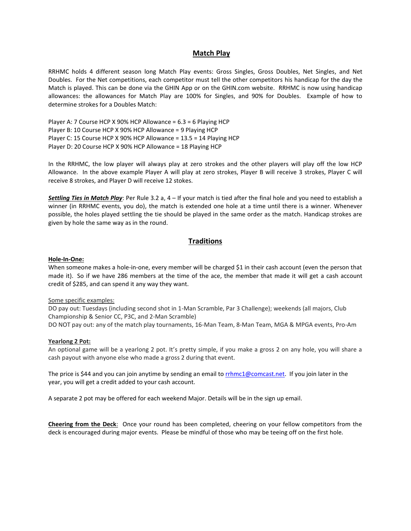### **Match Play**

RRHMC holds 4 different season long Match Play events: Gross Singles, Gross Doubles, Net Singles, and Net Doubles. For the Net competitions, each competitor must tell the other competitors his handicap for the day the Match is played. This can be done via the GHIN App or on the GHIN.com website. RRHMC is now using handicap allowances: the allowances for Match Play are 100% for Singles, and 90% for Doubles. Example of how to determine strokes for a Doubles Match:

Player A: 7 Course HCP X 90% HCP Allowance = 6.3 = 6 Playing HCP Player B: 10 Course HCP X 90% HCP Allowance = 9 Playing HCP Player C: 15 Course HCP X 90% HCP Allowance = 13.5 = 14 Playing HCP Player D: 20 Course HCP X 90% HCP Allowance = 18 Playing HCP

In the RRHMC, the low player will always play at zero strokes and the other players will play off the low HCP Allowance. In the above example Player A will play at zero strokes, Player B will receive 3 strokes, Player C will receive 8 strokes, and Player D will receive 12 stokes.

*Settling Ties in Match Play*: Per Rule 3.2 a, 4 – If your match is tied after the final hole and you need to establish a winner (in RRHMC events, you do), the match is extended one hole at a time until there is a winner. Whenever possible, the holes played settling the tie should be played in the same order as the match. Handicap strokes are given by hole the same way as in the round.

## **Traditions**

#### **Hole-In-One:**

When someone makes a hole-in-one, every member will be charged \$1 in their cash account (even the person that made it). So if we have 286 members at the time of the ace, the member that made it will get a cash account credit of \$285, and can spend it any way they want.

#### Some specific examples:

DO pay out: Tuesdays (including second shot in 1-Man Scramble, Par 3 Challenge); weekends (all majors, Club Championship & Senior CC, P3C, and 2-Man Scramble) DO NOT pay out: any of the match play tournaments, 16-Man Team, 8-Man Team, MGA & MPGA events, Pro-Am

#### **Yearlong 2 Pot:**

An optional game will be a yearlong 2 pot. It's pretty simple, if you make a gross 2 on any hole, you will share a cash payout with anyone else who made a gross 2 during that event.

The price is \$44 and you can join anytime by sending an email to [rrhmc1@comcast.net.](mailto:rrhmc1@comcast.net) If you join later in the year, you will get a credit added to your cash account.

A separate 2 pot may be offered for each weekend Major. Details will be in the sign up email.

**Cheering from the Deck**: Once your round has been completed, cheering on your fellow competitors from the deck is encouraged during major events. Please be mindful of those who may be teeing off on the first hole.